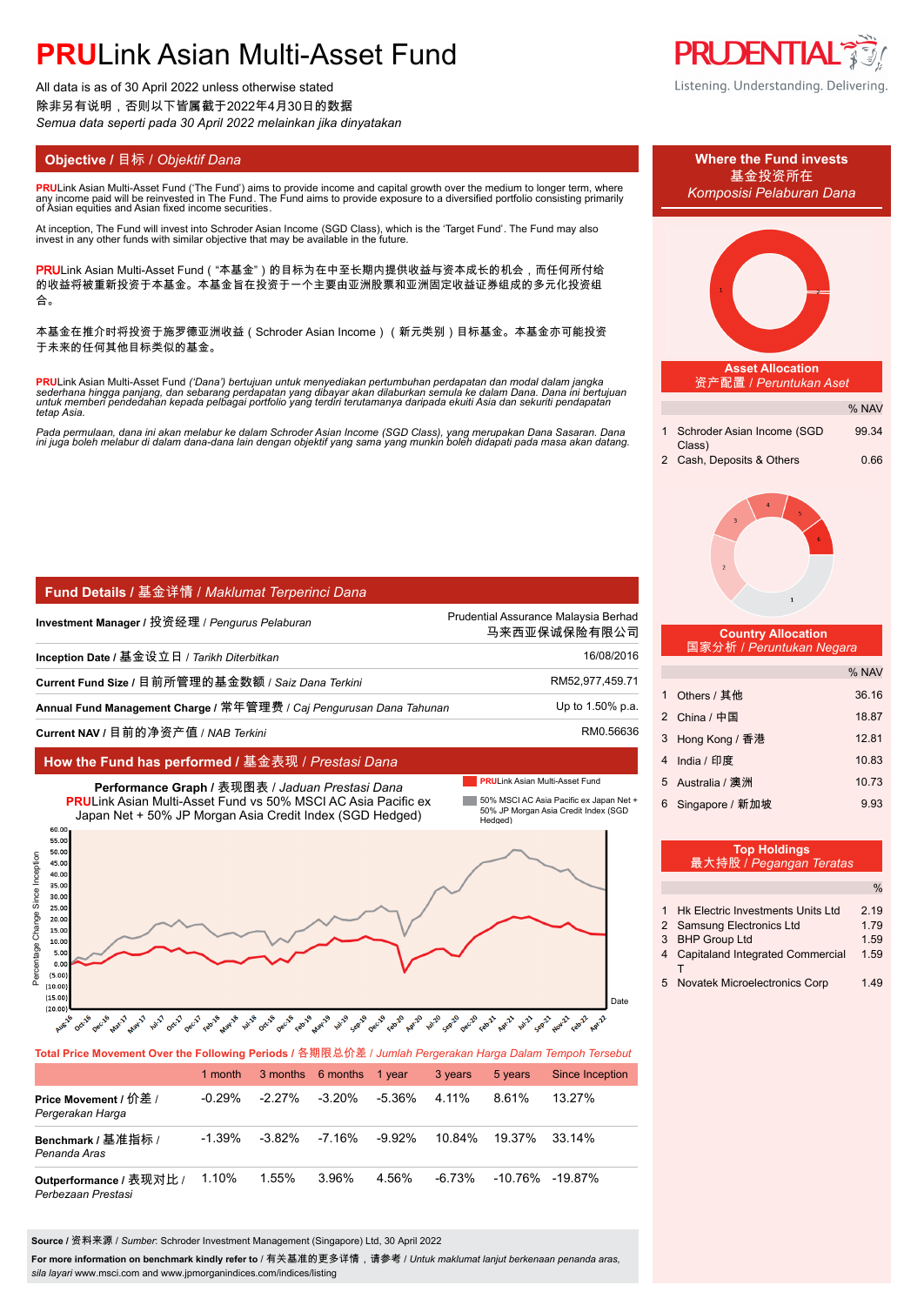# **PRU**Link Asian Multi-Asset Fund

All data is as of 30 April 2022 unless otherwise stated 除非另有说明,否则以下皆属截于2022年4月30日的数据 *Semua data seperti pada 30 April 2022 melainkan jika dinyatakan*

**PRU**Link Asian Multi-Asset Fund ('The Fund') aims to provide income and capital growth over the medium to longer term, where any income paid will be reinvested in The Fund. The Fund aims to provide exposure to a diversified portfolio consisting primarily of Asian equities and Asian fixed income securities.

At inception, The Fund will invest into Schroder Asian Income (SGD Class), which is the 'Target Fund'. The Fund may also<br>invest in any other funds with similar objective that may be available in the future.

PRULink Asian Multi-Asset Fund ( "本基金" ) 的目标为在中至长期内提供收益与资本成长的机会,而任何所付给 的收益将被重新投资于本基金。本基金旨在投资于一个主要由亚洲股票和亚洲固定收益证券组成的多元化投资组 合。

本基金在推介时将投资于施罗德亚洲收益(Schroder Asian Income)(新元类别)目标基金。本基金亦可能投资 于未来的任何其他目标类似的基金。

**PRU**Link Asian Multi-Asset Fund *('Dana') bertujuan untuk menyediakan pertumbuhan perdapatan dan modal dalam jangka*  sederhana hingga panjang, dan sebarang perdapatan yang dibayar akan dilaburkan semula ke dalam Dana. Dana ini bertujuan<br>untuk memberi pendedahan kepada pelbagai portfolio yang terdiri terutamanya daripada ekuiti Asia dan s *tetap Asia.*

Pada permulaan, dana ini akan melabur ke dalam Schroder Asian Income (SGD Class), yang merupakan Dana Sasaran. Dana<br>ini juga boleh melabur di dalam dana-dana lain dengan objektif yang sama yang munkin boleh didapati pada m

# **Fund Details /** 基金详情 / *Maklumat Terperinci Dana*

| Investment Manager / 投资经理 / Pengurus Pelaburan                       | Prudential Assurance Malaysia Berhad<br>马来西亚保诚保险有限公司 |
|----------------------------------------------------------------------|------------------------------------------------------|
| Inception Date / 基金设立日 / Tarikh Diterbitkan                          | 16/08/2016                                           |
| Current Fund Size / 目前所管理的基金数额 / Saiz Dana Terkini                   | RM52,977,459.71                                      |
| Annual Fund Management Charge / 常年管理费 / Caj Pengurusan Dana Tahunan_ | Up to 1.50% p.a.                                     |
| Current NAV / 目前的净资产值 / NAB Terkini                                  | RM0.56636                                            |

# **How the Fund has performed /** 基金表现 / *Prestasi Dana*

Date



## **Total Price Movement Over the Following Periods /** 各期限总价差 / *Jumlah Pergerakan Harga Dalam Tempoh Tersebut*

|                                               | 1 month   |           | 3 months 6 months 1 year |           | 3 years | 5 years | <b>Since Inception</b> |
|-----------------------------------------------|-----------|-----------|--------------------------|-----------|---------|---------|------------------------|
| Price Movement / 价差 /<br>Pergerakan Harga     | $-0.29\%$ | $-2.27\%$ | $-3.20\%$                | -5.36%    | 4.11%   | 8.61%   | 13.27%                 |
| Benchmark / 基准指标 /<br>Penanda Aras            | $-1.39\%$ | -3.82%    | -7.16%                   | $-9.92\%$ | 10.84%  | 19.37%  | 33.14%                 |
| Outperformance / 表现对比 /<br>Perbezaan Prestasi | 1.10%     | 1.55%     | 3.96%                    | 4.56%     | -6.73%  |         | $-10.76\%$ $-19.87\%$  |

**Source /** 资料来源 / *Sumber*: Schroder Investment Management (Singapore) Ltd, 30 April 2022

**For more information on benchmark kindly refer to** / 有关基准的更多详情,请参考 / *Untuk maklumat lanjut berkenaan penanda aras, sila layari* www.msci.com and www.jpmorganindices.com/indices/listing





| <b>Top Holdings</b>     |  |
|-------------------------|--|
| 最大持股 / Pegangan Teratas |  |

|                |                                          | $\frac{0}{0}$ |
|----------------|------------------------------------------|---------------|
|                | <b>Hk Electric Investments Units Ltd</b> | 219           |
|                | 2 Samsung Electronics Ltd                | 1.79          |
| 3              | <b>BHP Group Ltd</b>                     | 1.59          |
| $\overline{4}$ | <b>Capitaland Integrated Commercial</b>  | 1.59          |
|                |                                          |               |
| 5              | Novatek Microelectronics Corp            | 1 49          |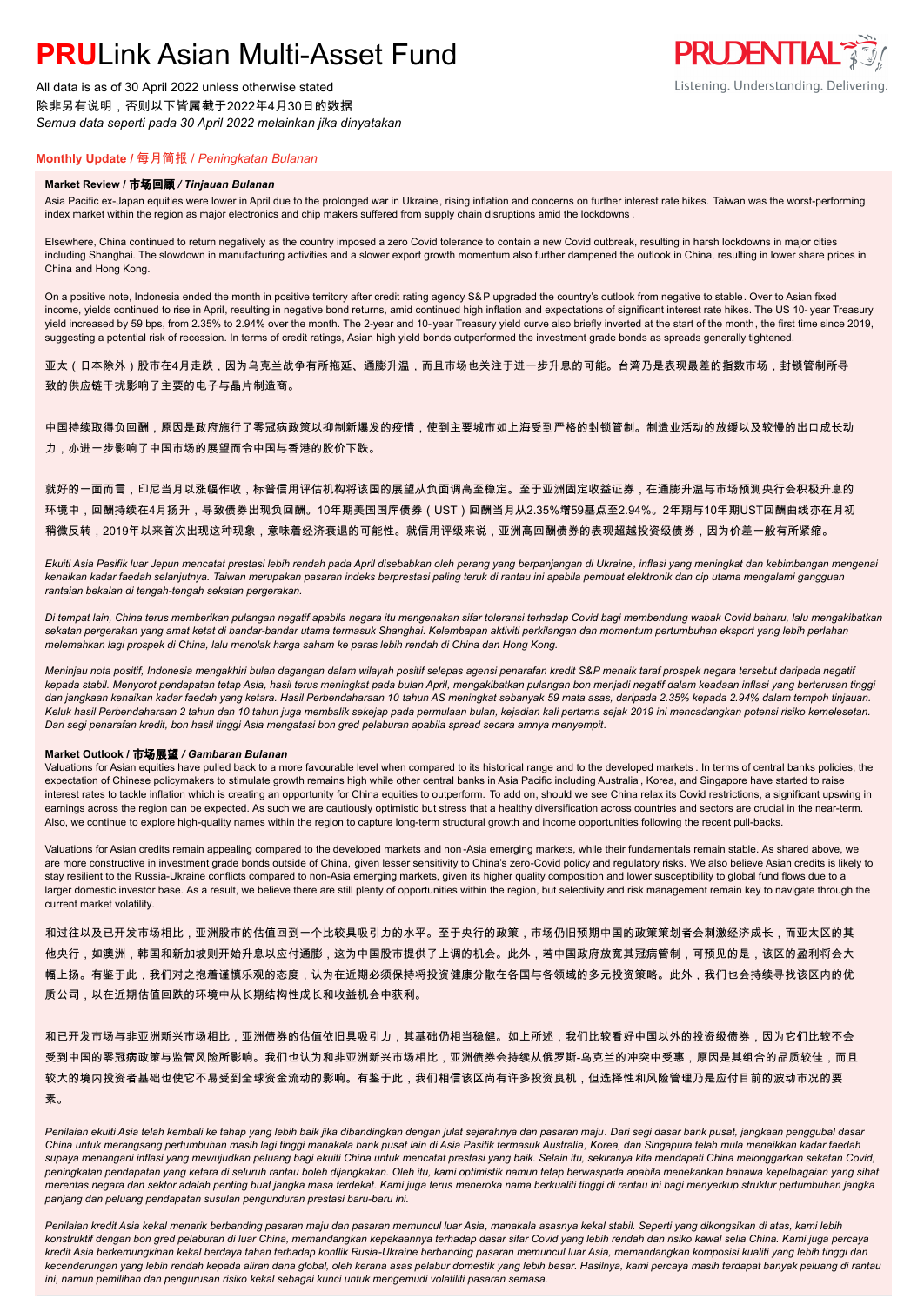# **PRUL** ink Asian Multi-Asset Fund

All data is as of 30 April 2022 unless otherwise stated 除非另有说明,否则以下皆属截于2022年4月30日的数据 *Semua data seperti pada 30 April 2022 melainkan jika dinyatakan*



# **Monthly Update /** 每月简报 / *Peningkatan Bulanan*

### **Market Review /** 市场回顾 */ Tinjauan Bulanan*

Asia Pacific ex-Japan equities were lower in April due to the prolonged war in Ukraine, rising inflation and concerns on further interest rate hikes. Taiwan was the worst-performing index market within the region as major electronics and chip makers suffered from supply chain disruptions amid the lockdowns .

Elsewhere, China continued to return negatively as the country imposed a zero Covid tolerance to contain a new Covid outbreak, resulting in harsh lockdowns in major cities including Shanghai. The slowdown in manufacturing activities and a slower export growth momentum also further dampened the outlook in China, resulting in lower share prices in China and Hong Kong.

On a positive note, Indonesia ended the month in positive territory after credit rating agency S&P upgraded the country's outlook from negative to stable. Over to Asian fixed income, yields continued to rise in April, resulting in negative bond returns, amid continued high inflation and expectations of significant interest rate hikes. The US 10- year Treasury yield increased by 59 bps, from 2.35% to 2.94% over the month. The 2-year and 10-year Treasury yield curve also briefly inverted at the start of the month, the first time since 2019, suggesting a potential risk of recession. In terms of credit ratings, Asian high yield bonds outperformed the investment grade bonds as spreads generally tightened.

亚太(日本除外)股市在4月走跌,因为乌克兰战争有所拖延、通膨升温,而且市场也关注于进一步升息的可能。台湾乃是表现最差的指数市场,封锁管制所导 致的供应链干扰影响了主要的电子与晶片制造商。

中国持续取得负回酬,原因是政府施行了零冠病政策以抑制新爆发的疫情,使到主要城市如上海受到严格的封锁管制。制造业活动的放缓以及较慢的出口成长动 力,亦进一步影响了中国市场的展望而令中国与香港的股价下跌。

就好的一面而言,印尼当月以涨幅作收,标普信用评估机构将该国的展望从负面调高至稳定。至于亚洲固定收益证券,在通膨升温与市场预测央行会积极升息的 环境中,回酬持续在4月扬升,导致债券出现负回酬。10年期美国国库债券(UST)回酬当月从2.35%增59基点至2.94%。2年期与10年期UST回酬曲线亦在月初 稍微反转,2019年以来首次出现这种现象,意味着经济衰退的可能性。就信用评级来说,亚洲高回酬债券的表现超越投资级债券,因为价差一般有所紧缩。

*Ekuiti Asia Pasifik luar Jepun mencatat prestasi lebih rendah pada April disebabkan oleh perang yang berpanjangan di Ukraine, inflasi yang meningkat dan kebimbangan mengenai kenaikan kadar faedah selanjutnya. Taiwan merupakan pasaran indeks berprestasi paling teruk di rantau ini apabila pembuat elektronik dan cip utama mengalami gangguan rantaian bekalan di tengah-tengah sekatan pergerakan.*

*Di tempat lain, China terus memberikan pulangan negatif apabila negara itu mengenakan sifar toleransi terhadap Covid bagi membendung wabak Covid baharu, lalu mengakibatkan sekatan pergerakan yang amat ketat di bandar-bandar utama termasuk Shanghai. Kelembapan aktiviti perkilangan dan momentum pertumbuhan eksport yang lebih perlahan melemahkan lagi prospek di China, lalu menolak harga saham ke paras lebih rendah di China dan Hong Kong.*

*Meninjau nota positif, Indonesia mengakhiri bulan dagangan dalam wilayah positif selepas agensi penarafan kredit S&P menaik taraf prospek negara tersebut daripada negatif kepada stabil. Menyorot pendapatan tetap Asia, hasil terus meningkat pada bulan April, mengakibatkan pulangan bon menjadi negatif dalam keadaan inflasi yang berterusan tinggi dan jangkaan kenaikan kadar faedah yang ketara. Hasil Perbendaharaan 10 tahun AS meningkat sebanyak 59 mata asas, daripada 2.35% kepada 2.94% dalam tempoh tinjauan. Keluk hasil Perbendaharaan 2 tahun dan 10 tahun juga membalik sekejap pada permulaan bulan, kejadian kali pertama sejak 2019 ini mencadangkan potensi risiko kemelesetan. Dari segi penarafan kredit, bon hasil tinggi Asia mengatasi bon gred pelaburan apabila spread secara amnya menyempit.*

## **Market Outlook /** 市场展望 */ Gambaran Bulanan*

Valuations for Asian equities have pulled back to a more favourable level when compared to its historical range and to the developed markets . In terms of central banks policies, the expectation of Chinese policymakers to stimulate growth remains high while other central banks in Asia Pacific including Australia , Korea, and Singapore have started to raise interest rates to tackle inflation which is creating an opportunity for China equities to outperform. To add on, should we see China relax its Covid restrictions, a significant upswing in earnings across the region can be expected. As such we are cautiously optimistic but stress that a healthy diversification across countries and sectors are crucial in the near-term. Also, we continue to explore high-quality names within the region to capture long-term structural growth and income opportunities following the recent pull-backs.

Valuations for Asian credits remain appealing compared to the developed markets and non -Asia emerging markets, while their fundamentals remain stable. As shared above, we are more constructive in investment grade bonds outside of China, given lesser sensitivity to China's zero-Covid policy and regulatory risks. We also believe Asian credits is likely to stay resilient to the Russia-Ukraine conflicts compared to non-Asia emerging markets, given its higher quality composition and lower susceptibility to global fund flows due to a larger domestic investor base. As a result, we believe there are still plenty of opportunities within the region, but selectivity and risk management remain key to navigate through the current market volatility.

和过往以及已开发市场相比,亚洲股市的估值回到一个比较具吸引力的水平。至于央行的政策,市场仍旧预期中国的政策策划者会刺激经济成长,而亚太区的其 他央行,如澳洲,韩国和新加坡则开始升息以应付通膨,这为中国股市提供了上调的机会。此外,若中国政府放宽其冠病管制,可预见的是,该区的盈利将会大 幅上扬。有鉴于此,我们对之抱着谨慎乐观的态度,认为在近期必须保持将投资健康分散在各国与各领域的多元投资策略。此外,我们也会持续寻找该区内的优 质公司,以在近期估值回跌的环境中从长期结构性成长和收益机会中获利。

和已开发市场与非亚洲新兴市场相比,亚洲债券的估值依旧具吸引力,其基础仍相当稳健。如上所述,我们比较看好中国以外的投资级债券,因为它们比较不会 受到中国的零冠病政策与监管风险所影响。我们也认为和非亚洲新兴市场相比,亚洲债券会持续从俄罗斯-乌克兰的冲突中受惠,原因是其组合的品质较佳,而且 较大的境内投资者基础也使它不易受到全球资金流动的影响。有鉴于此,我们相信该区尚有许多投资良机,但选择性和风险管理乃是应付目前的波动市况的要 素。

Penilaian ekuiti Asia telah kembali ke tahap yang lebih baik jika dibandingkan dengan julat sejarahnya dan pasaran maju. Dari segi dasar bank pusat, jangkaan penggubal dasar *China untuk merangsang pertumbuhan masih lagi tinggi manakala bank pusat lain di Asia Pasifik termasuk Australia, Korea, dan Singapura telah mula menaikkan kadar faedah supaya menangani inflasi yang mewujudkan peluang bagi ekuiti China untuk mencatat prestasi yang baik. Selain itu, sekiranya kita mendapati China melonggarkan sekatan Covid, peningkatan pendapatan yang ketara di seluruh rantau boleh dijangkakan. Oleh itu, kami optimistik namun tetap berwaspada apabila menekankan bahawa kepelbagaian yang sihat merentas negara dan sektor adalah penting buat jangka masa terdekat. Kami juga terus meneroka nama berkualiti tinggi di rantau ini bagi menyerkup struktur pertumbuhan jangka panjang dan peluang pendapatan susulan pengunduran prestasi baru-baru ini.*

*Penilaian kredit Asia kekal menarik berbanding pasaran maju dan pasaran memuncul luar Asia, manakala asasnya kekal stabil. Seperti yang dikongsikan di atas, kami lebih konstruktif dengan bon gred pelaburan di luar China, memandangkan kepekaannya terhadap dasar sifar Covid yang lebih rendah dan risiko kawal selia China. Kami juga percaya kredit Asia berkemungkinan kekal berdaya tahan terhadap konflik Rusia-Ukraine berbanding pasaran memuncul luar Asia, memandangkan komposisi kualiti yang lebih tinggi dan kecenderungan yang lebih rendah kepada aliran dana global, oleh kerana asas pelabur domestik yang lebih besar. Hasilnya, kami percaya masih terdapat banyak peluang di rantau ini, namun pemilihan dan pengurusan risiko kekal sebagai kunci untuk mengemudi volatiliti pasaran semasa.*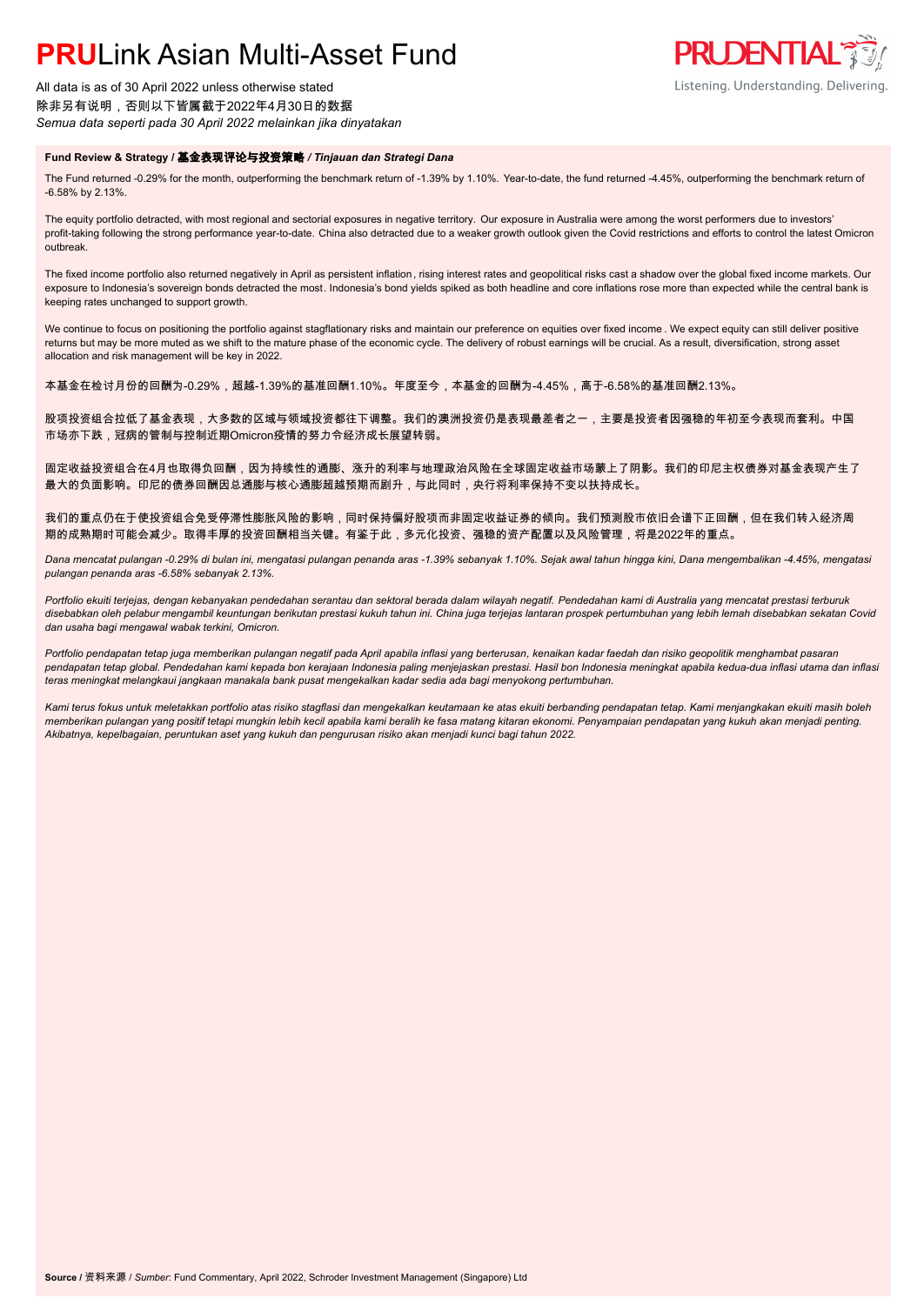# **PRUL** ink Asian Multi-Asset Fund

All data is as of 30 April 2022 unless otherwise stated 除非另有说明,否则以下皆属截于2022年4月30日的数据 *Semua data seperti pada 30 April 2022 melainkan jika dinyatakan*

## **Fund Review & Strategy /** 基金表现评论与投资策略 */ Tinjauan dan Strategi Dana*

The Fund returned -0.29% for the month, outperforming the benchmark return of -1.39% by 1.10%. Year-to-date, the fund returned -4.45%, outperforming the benchmark return of -6.58% by 2.13%.

**PRUDENTIAL\*** 

Listening. Understanding. Delivering.

The equity portfolio detracted, with most regional and sectorial exposures in negative territory. Our exposure in Australia were among the worst performers due to investors' profit-taking following the strong performance year-to-date. China also detracted due to a weaker growth outlook given the Covid restrictions and efforts to control the latest Omicron outbreak.

The fixed income portfolio also returned negatively in April as persistent inflation, rising interest rates and geopolitical risks cast a shadow over the global fixed income markets. Our exposure to Indonesia's sovereign bonds detracted the most. Indonesia's bond yields spiked as both headline and core inflations rose more than expected while the central bank is keeping rates unchanged to support growth.

We continue to focus on positioning the portfolio against stagflationary risks and maintain our preference on equities over fixed income . We expect equity can still deliver positive returns but may be more muted as we shift to the mature phase of the economic cycle. The delivery of robust earnings will be crucial. As a result, diversification, strong asset allocation and risk management will be key in 2022.

本基金在检讨月份的回酬为-0.29%,超越-1.39%的基准回酬1.10%。年度至今,本基金的回酬为-4.45%,高于-6.58%的基准回酬2.13%。

股项投资组合拉低了基金表现,大多数的区域与领域投资都往下调整。我们的澳洲投资仍是表现最差者之一,主要是投资者因强稳的年初至今表现而套利。中国 市场亦下跌,冠病的管制与控制近期Omicron疫情的努力令经济成长展望转弱。

固定收益投资组合在4月也取得负回酬,因为持续性的通膨、涨升的利率与地理政治风险在全球固定收益市场蒙上了阴影。我们的印尼主权债券对基金表现产生了 最大的负面影响。印尼的债券回酬因总通膨与核心通膨超越预期而剧升,与此同时,央行将利率保持不变以扶持成长。

我们的重点仍在于使投资组合免受停滞性膨胀风险的影响,同时保持偏好股项而非固定收益证券的倾向。我们预测股市依旧会谱下正回酬,但在我们转入经济周 期的成熟期时可能会减少。取得丰厚的投资回酬相当关键。有鉴于此,多元化投资、强稳的资产配置以及风险管理,将是2022年的重点。

*Dana mencatat pulangan -0.29% di bulan ini, mengatasi pulangan penanda aras -1.39% sebanyak 1.10%. Sejak awal tahun hingga kini, Dana mengembalikan -4.45%, mengatasi pulangan penanda aras -6.58% sebanyak 2.13%.*

*Portfolio ekuiti terjejas, dengan kebanyakan pendedahan serantau dan sektoral berada dalam wilayah negatif. Pendedahan kami di Australia yang mencatat prestasi terburuk disebabkan oleh pelabur mengambil keuntungan berikutan prestasi kukuh tahun ini. China juga terjejas lantaran prospek pertumbuhan yang lebih lemah disebabkan sekatan Covid dan usaha bagi mengawal wabak terkini, Omicron.*

*Portfolio pendapatan tetap juga memberikan pulangan negatif pada April apabila inflasi yang berterusan, kenaikan kadar faedah dan risiko geopolitik menghambat pasaran pendapatan tetap global. Pendedahan kami kepada bon kerajaan Indonesia paling menjejaskan prestasi. Hasil bon Indonesia meningkat apabila kedua-dua inflasi utama dan inflasi teras meningkat melangkaui jangkaan manakala bank pusat mengekalkan kadar sedia ada bagi menyokong pertumbuhan.*

*Kami terus fokus untuk meletakkan portfolio atas risiko stagflasi dan mengekalkan keutamaan ke atas ekuiti berbanding pendapatan tetap. Kami menjangkakan ekuiti masih boleh memberikan pulangan yang positif tetapi mungkin lebih kecil apabila kami beralih ke fasa matang kitaran ekonomi. Penyampaian pendapatan yang kukuh akan menjadi penting. Akibatnya, kepelbagaian, peruntukan aset yang kukuh dan pengurusan risiko akan menjadi kunci bagi tahun 2022.*